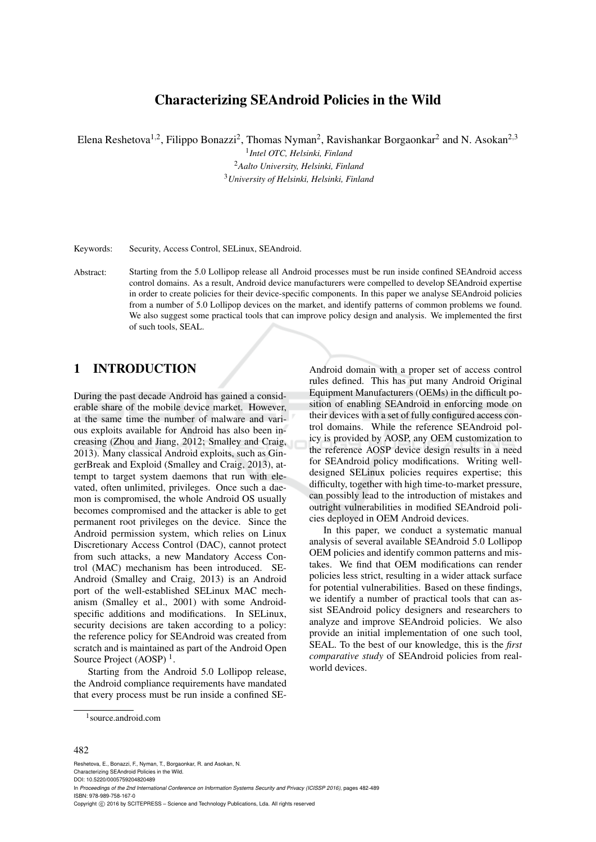# Characterizing SEAndroid Policies in the Wild

Elena Reshetova<sup>1,2</sup>, Filippo Bonazzi<sup>2</sup>, Thomas Nyman<sup>2</sup>, Ravishankar Borgaonkar<sup>2</sup> and N. Asokan<sup>2,3</sup>

1 *Intel OTC, Helsinki, Finland* <sup>2</sup>*Aalto University, Helsinki, Finland* <sup>3</sup>*University of Helsinki, Helsinki, Finland*

Keywords: Security, Access Control, SELinux, SEAndroid.

Abstract: Starting from the 5.0 Lollipop release all Android processes must be run inside confined SEAndroid access control domains. As a result, Android device manufacturers were compelled to develop SEAndroid expertise in order to create policies for their device-specific components. In this paper we analyse SEAndroid policies from a number of 5.0 Lollipop devices on the market, and identify patterns of common problems we found. We also suggest some practical tools that can improve policy design and analysis. We implemented the first of such tools, SEAL.

## 1 INTRODUCTION

During the past decade Android has gained a considerable share of the mobile device market. However, at the same time the number of malware and various exploits available for Android has also been increasing (Zhou and Jiang, 2012; Smalley and Craig, 2013). Many classical Android exploits, such as GingerBreak and Exploid (Smalley and Craig, 2013), attempt to target system daemons that run with elevated, often unlimited, privileges. Once such a daemon is compromised, the whole Android OS usually becomes compromised and the attacker is able to get permanent root privileges on the device. Since the Android permission system, which relies on Linux Discretionary Access Control (DAC), cannot protect from such attacks, a new Mandatory Access Control (MAC) mechanism has been introduced. SE-Android (Smalley and Craig, 2013) is an Android port of the well-established SELinux MAC mechanism (Smalley et al., 2001) with some Androidspecific additions and modifications. In SELinux, security decisions are taken according to a policy: the reference policy for SEAndroid was created from scratch and is maintained as part of the Android Open Source Project (AOSP)<sup>1</sup>.

Starting from the Android 5.0 Lollipop release, the Android compliance requirements have mandated that every process must be run inside a confined SE-

Android domain with a proper set of access control rules defined. This has put many Android Original Equipment Manufacturers (OEMs) in the difficult position of enabling SEAndroid in enforcing mode on their devices with a set of fully configured access control domains. While the reference SEAndroid policy is provided by AOSP, any OEM customization to the reference AOSP device design results in a need for SEAndroid policy modifications. Writing welldesigned SELinux policies requires expertise; this difficulty, together with high time-to-market pressure, can possibly lead to the introduction of mistakes and outright vulnerabilities in modified SEAndroid policies deployed in OEM Android devices.

In this paper, we conduct a systematic manual analysis of several available SEAndroid 5.0 Lollipop OEM policies and identify common patterns and mistakes. We find that OEM modifications can render policies less strict, resulting in a wider attack surface for potential vulnerabilities. Based on these findings, we identify a number of practical tools that can assist SEAndroid policy designers and researchers to analyze and improve SEAndroid policies. We also provide an initial implementation of one such tool, SEAL. To the best of our knowledge, this is the *first comparative study* of SEAndroid policies from realworld devices.

#### 482

Reshetova, E., Bonazzi, F., Nyman, T., Borgaonkar, R. and Asokan, N. Characterizing SEAndroid Policies in the Wild. DOI: 10.5220/0005759204820489 In *Proceedings of the 2nd International Conference on Information Systems Security and Privacy (ICISSP 2016)*, pages 482-489 ISBN: 978-989-758-167-0 Copyright © 2016 by SCITEPRESS - Science and Technology Publications, Lda. All rights reserved

<sup>1</sup> source.android.com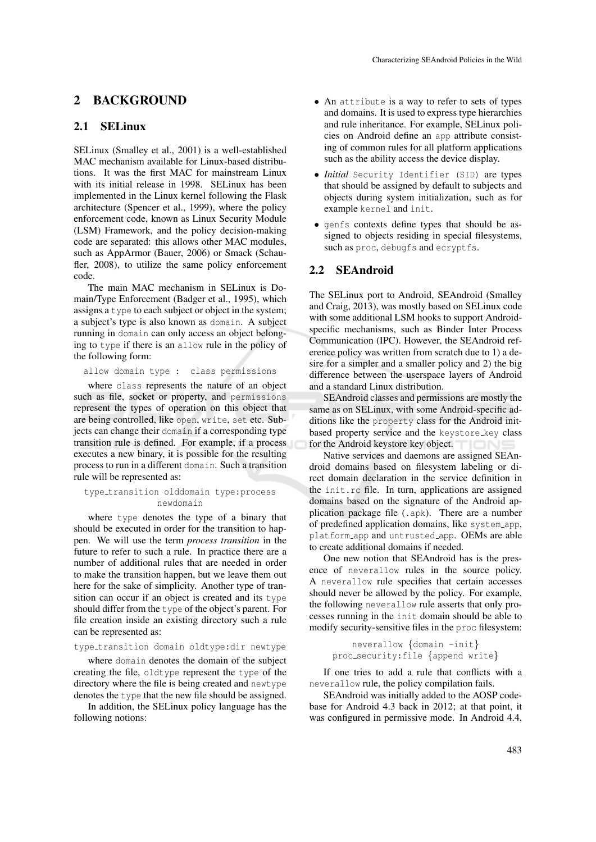## 2 BACKGROUND

## 2.1 SELinux

SELinux (Smalley et al., 2001) is a well-established MAC mechanism available for Linux-based distributions. It was the first MAC for mainstream Linux with its initial release in 1998. SELinux has been implemented in the Linux kernel following the Flask architecture (Spencer et al., 1999), where the policy enforcement code, known as Linux Security Module (LSM) Framework, and the policy decision-making code are separated: this allows other MAC modules, such as AppArmor (Bauer, 2006) or Smack (Schaufler, 2008), to utilize the same policy enforcement code.

The main MAC mechanism in SELinux is Domain/Type Enforcement (Badger et al., 1995), which assigns a type to each subject or object in the system; a subject's type is also known as domain. A subject running in domain can only access an object belonging to type if there is an allow rule in the policy of the following form:

allow domain type : class permissions

where class represents the nature of an object such as file, socket or property, and permissions represent the types of operation on this object that are being controlled, like open, write, set etc. Subjects can change their domain if a corresponding type transition rule is defined. For example, if a process executes a new binary, it is possible for the resulting process to run in a different domain. Such a transition rule will be represented as:

#### type transition olddomain type:process newdomain

where type denotes the type of a binary that should be executed in order for the transition to happen. We will use the term *process transition* in the future to refer to such a rule. In practice there are a number of additional rules that are needed in order to make the transition happen, but we leave them out here for the sake of simplicity. Another type of transition can occur if an object is created and its type should differ from the type of the object's parent. For file creation inside an existing directory such a rule can be represented as:

#### type transition domain oldtype:dir newtype

where domain denotes the domain of the subject creating the file, oldtype represent the type of the directory where the file is being created and newtype denotes the type that the new file should be assigned.

In addition, the SELinux policy language has the following notions:

- An attribute is a way to refer to sets of types and domains. It is used to express type hierarchies and rule inheritance. For example, SELinux policies on Android define an app attribute consisting of common rules for all platform applications such as the ability access the device display.
- *Initial* Security Identifier (SID) are types that should be assigned by default to subjects and objects during system initialization, such as for example kernel and init.
- genfs contexts define types that should be assigned to objects residing in special filesystems, such as proc, debugfs and ecryptfs.

## 2.2 SEAndroid

The SELinux port to Android, SEAndroid (Smalley and Craig, 2013), was mostly based on SELinux code with some additional LSM hooks to support Androidspecific mechanisms, such as Binder Inter Process Communication (IPC). However, the SEAndroid reference policy was written from scratch due to 1) a desire for a simpler and a smaller policy and 2) the big difference between the userspace layers of Android and a standard Linux distribution.

SEAndroid classes and permissions are mostly the same as on SELinux, with some Android-specific additions like the property class for the Android initbased property service and the keystore\_key class for the Android keystore key object.

Native services and daemons are assigned SEAndroid domains based on filesystem labeling or direct domain declaration in the service definition in the init.rc file. In turn, applications are assigned domains based on the signature of the Android application package file (.apk). There are a number of predefined application domains, like system app, platform app and untrusted app. OEMs are able to create additional domains if needed.

One new notion that SEAndroid has is the presence of neverallow rules in the source policy. A neverallow rule specifies that certain accesses should never be allowed by the policy. For example, the following neverallow rule asserts that only processes running in the init domain should be able to modify security-sensitive files in the proc filesystem:

```
neverallow {domain -init}
proc security:file {append write}
```
If one tries to add a rule that conflicts with a neverallow rule, the policy compilation fails.

SEAndroid was initially added to the AOSP codebase for Android 4.3 back in 2012; at that point, it was configured in permissive mode. In Android 4.4,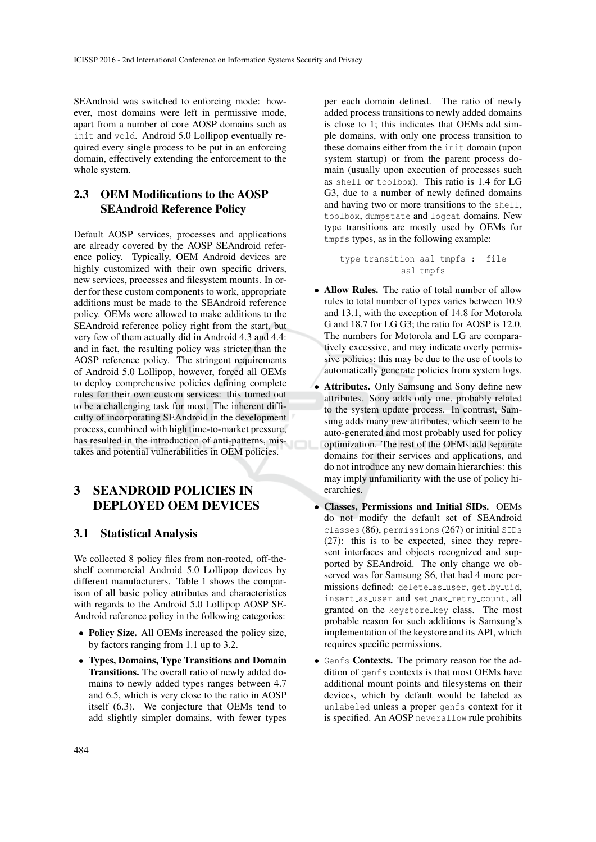SEAndroid was switched to enforcing mode: however, most domains were left in permissive mode, apart from a number of core AOSP domains such as init and vold. Android 5.0 Lollipop eventually required every single process to be put in an enforcing domain, effectively extending the enforcement to the whole system.

## 2.3 OEM Modifications to the AOSP SEAndroid Reference Policy

Default AOSP services, processes and applications are already covered by the AOSP SEAndroid reference policy. Typically, OEM Android devices are highly customized with their own specific drivers, new services, processes and filesystem mounts. In order for these custom components to work, appropriate additions must be made to the SEAndroid reference policy. OEMs were allowed to make additions to the SEAndroid reference policy right from the start, but very few of them actually did in Android 4.3 and 4.4: and in fact, the resulting policy was stricter than the AOSP reference policy. The stringent requirements of Android 5.0 Lollipop, however, forced all OEMs to deploy comprehensive policies defining complete rules for their own custom services: this turned out to be a challenging task for most. The inherent difficulty of incorporating SEAndroid in the development process, combined with high time-to-market pressure, has resulted in the introduction of anti-patterns, mistakes and potential vulnerabilities in OEM policies.

# 3 SEANDROID POLICIES IN DEPLOYED OEM DEVICES

## 3.1 Statistical Analysis

We collected 8 policy files from non-rooted, off-theshelf commercial Android 5.0 Lollipop devices by different manufacturers. Table 1 shows the comparison of all basic policy attributes and characteristics with regards to the Android 5.0 Lollipop AOSP SE-Android reference policy in the following categories:

- Policy Size. All OEMs increased the policy size, by factors ranging from 1.1 up to 3.2.
- Types, Domains, Type Transitions and Domain Transitions. The overall ratio of newly added domains to newly added types ranges between 4.7 and 6.5, which is very close to the ratio in AOSP itself (6.3). We conjecture that OEMs tend to add slightly simpler domains, with fewer types

per each domain defined. The ratio of newly added process transitions to newly added domains is close to 1; this indicates that OEMs add simple domains, with only one process transition to these domains either from the init domain (upon system startup) or from the parent process domain (usually upon execution of processes such as shell or toolbox). This ratio is 1.4 for LG G3, due to a number of newly defined domains and having two or more transitions to the shell, toolbox, dumpstate and logcat domains. New type transitions are mostly used by OEMs for tmpfs types, as in the following example:

type transition aal tmpfs : file aal tmpfs

- Allow Rules. The ratio of total number of allow rules to total number of types varies between 10.9 and 13.1, with the exception of 14.8 for Motorola G and 18.7 for LG G3; the ratio for AOSP is 12.0. The numbers for Motorola and LG are comparatively excessive, and may indicate overly permissive policies; this may be due to the use of tools to automatically generate policies from system logs.
- Attributes. Only Samsung and Sony define new attributes. Sony adds only one, probably related to the system update process. In contrast, Samsung adds many new attributes, which seem to be auto-generated and most probably used for policy optimization. The rest of the OEMs add separate domains for their services and applications, and do not introduce any new domain hierarchies: this may imply unfamiliarity with the use of policy hierarchies.
- Classes, Permissions and Initial SIDs. OEMs do not modify the default set of SEAndroid classes (86), permissions (267) or initial SIDs (27): this is to be expected, since they represent interfaces and objects recognized and supported by SEAndroid. The only change we observed was for Samsung S6, that had 4 more permissions defined: delete as user, get by uid, insert\_as\_user and set\_max\_retry\_count, all granted on the keystore key class. The most probable reason for such additions is Samsung's implementation of the keystore and its API, which requires specific permissions.
- Genfs Contexts. The primary reason for the addition of genfs contexts is that most OEMs have additional mount points and filesystems on their devices, which by default would be labeled as unlabeled unless a proper genfs context for it is specified. An AOSP neverallow rule prohibits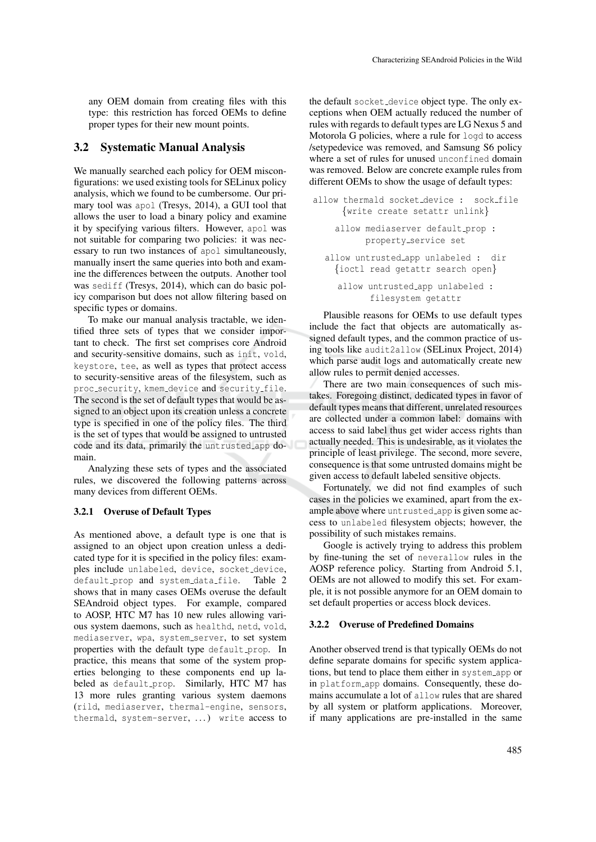any OEM domain from creating files with this type: this restriction has forced OEMs to define proper types for their new mount points.

## 3.2 Systematic Manual Analysis

We manually searched each policy for OEM misconfigurations: we used existing tools for SELinux policy analysis, which we found to be cumbersome. Our primary tool was apol (Tresys, 2014), a GUI tool that allows the user to load a binary policy and examine it by specifying various filters. However, apol was not suitable for comparing two policies: it was necessary to run two instances of apol simultaneously, manually insert the same queries into both and examine the differences between the outputs. Another tool was sediff (Tresys, 2014), which can do basic policy comparison but does not allow filtering based on specific types or domains.

To make our manual analysis tractable, we identified three sets of types that we consider important to check. The first set comprises core Android and security-sensitive domains, such as init, vold, keystore, tee, as well as types that protect access to security-sensitive areas of the filesystem, such as proc security, kmem device and security file. The second is the set of default types that would be assigned to an object upon its creation unless a concrete type is specified in one of the policy files. The third is the set of types that would be assigned to untrusted code and its data, primarily the untrusted app domain.

Analyzing these sets of types and the associated rules, we discovered the following patterns across many devices from different OEMs.

### 3.2.1 Overuse of Default Types

As mentioned above, a default type is one that is assigned to an object upon creation unless a dedicated type for it is specified in the policy files: examples include unlabeled, device, socket device, default\_prop and system\_data\_file. Table 2 shows that in many cases OEMs overuse the default SEAndroid object types. For example, compared to AOSP, HTC M7 has 10 new rules allowing various system daemons, such as healthd, netd, vold, mediaserver, wpa, system\_server, to set system properties with the default type default\_prop. In practice, this means that some of the system properties belonging to these components end up labeled as default\_prop. Similarly, HTC M7 has 13 more rules granting various system daemons (rild, mediaserver, thermal-engine, sensors, thermald, system-server, ...) write access to

the default socket device object type. The only exceptions when OEM actually reduced the number of rules with regards to default types are LG Nexus 5 and Motorola G policies, where a rule for logd to access /setypedevice was removed, and Samsung S6 policy where a set of rules for unused unconfined domain was removed. Below are concrete example rules from different OEMs to show the usage of default types:

```
allow thermald socket_device : sock_file
     {write create setattr unlink}
    allow mediaserver default_prop :
          property service set
  allow untrusted app unlabeled : dir
    {ioctl read getattr search open}
    allow untrusted_app unlabeled :
           filesystem getattr
```
Plausible reasons for OEMs to use default types include the fact that objects are automatically assigned default types, and the common practice of using tools like audit2allow (SELinux Project, 2014) which parse audit logs and automatically create new allow rules to permit denied accesses.

There are two main consequences of such mistakes. Foregoing distinct, dedicated types in favor of default types means that different, unrelated resources are collected under a common label: domains with access to said label thus get wider access rights than actually needed. This is undesirable, as it violates the principle of least privilege. The second, more severe, consequence is that some untrusted domains might be given access to default labeled sensitive objects.

Fortunately, we did not find examples of such cases in the policies we examined, apart from the example above where untrusted app is given some access to unlabeled filesystem objects; however, the possibility of such mistakes remains.

Google is actively trying to address this problem by fine-tuning the set of neverallow rules in the AOSP reference policy. Starting from Android 5.1, OEMs are not allowed to modify this set. For example, it is not possible anymore for an OEM domain to set default properties or access block devices.

#### 3.2.2 Overuse of Predefined Domains

Another observed trend is that typically OEMs do not define separate domains for specific system applications, but tend to place them either in system app or in platform app domains. Consequently, these domains accumulate a lot of allow rules that are shared by all system or platform applications. Moreover, if many applications are pre-installed in the same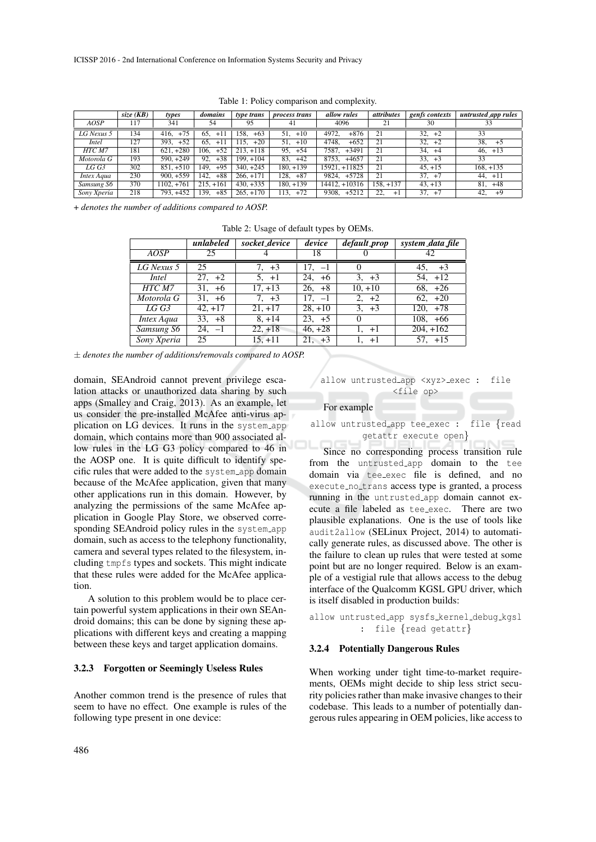|              | size $(KB)$ | types         | domains       | type trans    | <i>process trans</i> | allow rules      | <i>attributes</i> | genfs contexts | $untrusted\_\alpha$ app rules |
|--------------|-------------|---------------|---------------|---------------|----------------------|------------------|-------------------|----------------|-------------------------------|
| <b>AOSP</b>  | 117         | 341           | 54            | 95            | 41                   | 4096             | 21                | 30             |                               |
| $LG$ Nexus 5 | 134         | $+75$<br>416. | 65.<br>$+11$  | $+63$<br>158. | $51, +10$            | $+876$<br>4972.  | 21                | 32.<br>$+2$    | 33                            |
| Intel        | 127         | $+52$<br>393. | 65.<br>$+11$  | $+20$<br>115. | $51, +10$            | $+652$<br>4748.  | 21                | 32.<br>$+2$    | 38,<br>$+5$                   |
| HTC M7       | 181         | $621. +280$   | $+52$<br>106. | $213. +118$   | $95, +54$            | 7587.<br>$+3491$ | 21                | 34.<br>$+4$    | $+13$<br>46.                  |
| Motorola G   | 193         | $590, +249$   | $+38$<br>92.  | $199. + 104$  | $83, +42$            | $+4657$<br>8753. | 21                | $33, +3$       | 33                            |
| LG G3        | 302         | $851, +510$   | $+95$<br>149. | $340. +245$   | $180, +139$          | 15921. +11825    | 21                | $45. +15$      | $168, +135$                   |
| Intex Aqua   | 230         | $900, +559$   | $+88$<br>142. | $266, +171$   | $128, +87$           | $+5728$<br>9824. | 21                | $37, +7$       | $44. +11$                     |
| Samsung S6   | 370         | $1102, +761$  | $215. +161$   | $430. +335$   | $180, +139$          | $14412. + 10316$ | $158. + 137$      | $43. +13$      | 81.<br>$+48$                  |
| Sony Xperia  | 218         | 793. +452     | $+85$<br>139. | $265. +170$   | 113, +72             | $+5212$<br>9308. | 22.<br>$+1$       | $37, +7$       | 42,<br>$+9$                   |

Table 1: Policy comparison and complexity.

+ *denotes the number of additions compared to AOSP.*

|             | unlabeled | socket_device | device    | default_prop | system_data_file |
|-------------|-----------|---------------|-----------|--------------|------------------|
| AOSP        | 25        |               | 18        |              | 42               |
| LG Nexus 5  | 25        | $7. +3$       | $17. -1$  |              | $+3$<br>45,      |
| Intel       | $27. +2$  | $5. +1$       | 24. $+6$  | $3, +3$      | $54, +12$        |
| HTC M7      | $31. +6$  | $17, +13$     | $26, +8$  | $10, +10$    | $68, +26$        |
| Motorola G  | $31, +6$  | $7, +3$       | $17. -1$  | 2, $+2$      | $62, +20$        |
| LG G3       | $42. +17$ | $21.+17$      | $28, +10$ | $3, +3$      | $120. +78$       |
| Intex Aqua  | $33, +8$  | $8, +14$      | $23. +5$  | $\theta$     | $108, +66$       |
| Samsung S6  | $24, -1$  | $22, +18$     | $46, +28$ | $1, +1$      | $204, +162$      |
| Sony Xperia | 25        | $15. + 11$    | $21, +3$  | 1. +1        | $57. +15$        |

Table 2: Usage of default types by OEMs.

± *denotes the number of additions/removals compared to AOSP.*

domain, SEAndroid cannot prevent privilege escalation attacks or unauthorized data sharing by such apps (Smalley and Craig, 2013). As an example, let us consider the pre-installed McAfee anti-virus application on LG devices. It runs in the system\_app domain, which contains more than 900 associated allow rules in the LG G3 policy compared to 46 in the AOSP one. It is quite difficult to identify specific rules that were added to the system app domain because of the McAfee application, given that many other applications run in this domain. However, by analyzing the permissions of the same McAfee application in Google Play Store, we observed corresponding SEAndroid policy rules in the system\_app domain, such as access to the telephony functionality, camera and several types related to the filesystem, including tmpfs types and sockets. This might indicate that these rules were added for the McAfee application.

A solution to this problem would be to place certain powerful system applications in their own SEAndroid domains; this can be done by signing these applications with different keys and creating a mapping between these keys and target application domains.

#### 3.2.3 Forgotten or Seemingly Useless Rules

Another common trend is the presence of rules that seem to have no effect. One example is rules of the following type present in one device:



#### For example

allow untrusted app tee exec : file {read getattr execute open}

Since no corresponding process transition rule from the untrusted app domain to the tee domain via tee exec file is defined, and no execute no trans access type is granted, a process running in the untrusted app domain cannot execute a file labeled as tee exec. There are two plausible explanations. One is the use of tools like audit2allow (SELinux Project, 2014) to automatically generate rules, as discussed above. The other is the failure to clean up rules that were tested at some point but are no longer required. Below is an example of a vestigial rule that allows access to the debug interface of the Qualcomm KGSL GPU driver, which is itself disabled in production builds:

allow untrusted app sysfs kernel debug kgsl : file {read getattr}

#### 3.2.4 Potentially Dangerous Rules

When working under tight time-to-market requirements, OEMs might decide to ship less strict security policies rather than make invasive changes to their codebase. This leads to a number of potentially dangerous rules appearing in OEM policies, like access to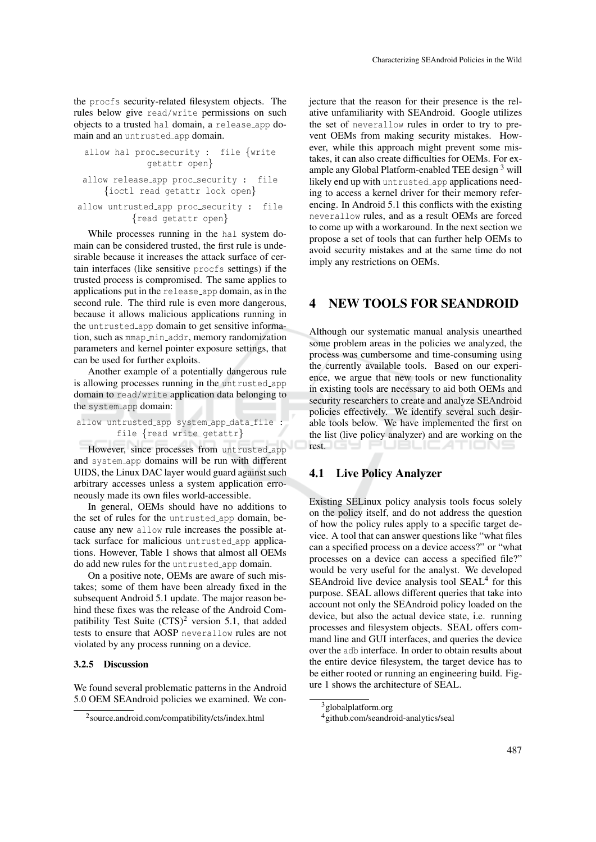the procfs security-related filesystem objects. The rules below give read/write permissions on such objects to a trusted hal domain, a release app domain and an untrusted app domain.

```
allow hal proc_security : file \{writegetattr open}
allow release_app proc_security : file
    {ioctl read getattr lock open}
```
## allow untrusted app proc\_security : file {read getattr open}

While processes running in the hal system domain can be considered trusted, the first rule is undesirable because it increases the attack surface of certain interfaces (like sensitive procfs settings) if the trusted process is compromised. The same applies to applications put in the release app domain, as in the second rule. The third rule is even more dangerous, because it allows malicious applications running in the untrusted app domain to get sensitive information, such as  $mmap\_min\_addr$ , memory randomization parameters and kernel pointer exposure settings, that can be used for further exploits.

Another example of a potentially dangerous rule is allowing processes running in the untrusted app domain to read/write application data belonging to the system app domain:

```
allow untrusted_app system_app_data_file :
        file {read write getattr}
```
However, since processes from untrusted\_app and system app domains will be run with different UIDS, the Linux DAC layer would guard against such arbitrary accesses unless a system application erroneously made its own files world-accessible.

In general, OEMs should have no additions to the set of rules for the untrusted app domain, because any new allow rule increases the possible attack surface for malicious untrusted app applications. However, Table 1 shows that almost all OEMs do add new rules for the untrusted app domain.

On a positive note, OEMs are aware of such mistakes; some of them have been already fixed in the subsequent Android 5.1 update. The major reason behind these fixes was the release of the Android Compatibility Test Suite  $(CTS)^2$  version 5.1, that added tests to ensure that AOSP neverallow rules are not violated by any process running on a device.

#### 3.2.5 Discussion

We found several problematic patterns in the Android 5.0 OEM SEAndroid policies we examined. We conjecture that the reason for their presence is the relative unfamiliarity with SEAndroid. Google utilizes the set of neverallow rules in order to try to prevent OEMs from making security mistakes. However, while this approach might prevent some mistakes, it can also create difficulties for OEMs. For example any Global Platform-enabled TEE design<sup>3</sup> will likely end up with untrusted app applications needing to access a kernel driver for their memory referencing. In Android 5.1 this conflicts with the existing neverallow rules, and as a result OEMs are forced to come up with a workaround. In the next section we propose a set of tools that can further help OEMs to avoid security mistakes and at the same time do not imply any restrictions on OEMs.

# 4 NEW TOOLS FOR SEANDROID

Although our systematic manual analysis unearthed some problem areas in the policies we analyzed, the process was cumbersome and time-consuming using the currently available tools. Based on our experience, we argue that new tools or new functionality in existing tools are necessary to aid both OEMs and security researchers to create and analyze SEAndroid policies effectively. We identify several such desirable tools below. We have implemented the first on the list (live policy analyzer) and are working on the rest. JELIC ATIONS

## 4.1 Live Policy Analyzer

Existing SELinux policy analysis tools focus solely on the policy itself, and do not address the question of how the policy rules apply to a specific target device. A tool that can answer questions like "what files can a specified process on a device access?" or "what processes on a device can access a specified file?" would be very useful for the analyst. We developed SEAndroid live device analysis tool SEAL<sup>4</sup> for this purpose. SEAL allows different queries that take into account not only the SEAndroid policy loaded on the device, but also the actual device state, i.e. running processes and filesystem objects. SEAL offers command line and GUI interfaces, and queries the device over the adb interface. In order to obtain results about the entire device filesystem, the target device has to be either rooted or running an engineering build. Figure 1 shows the architecture of SEAL.

<sup>2</sup> source.android.com/compatibility/cts/index.html

 $3$ globalplatform.org

<sup>&</sup>lt;sup>4</sup>github.com/seandroid-analytics/seal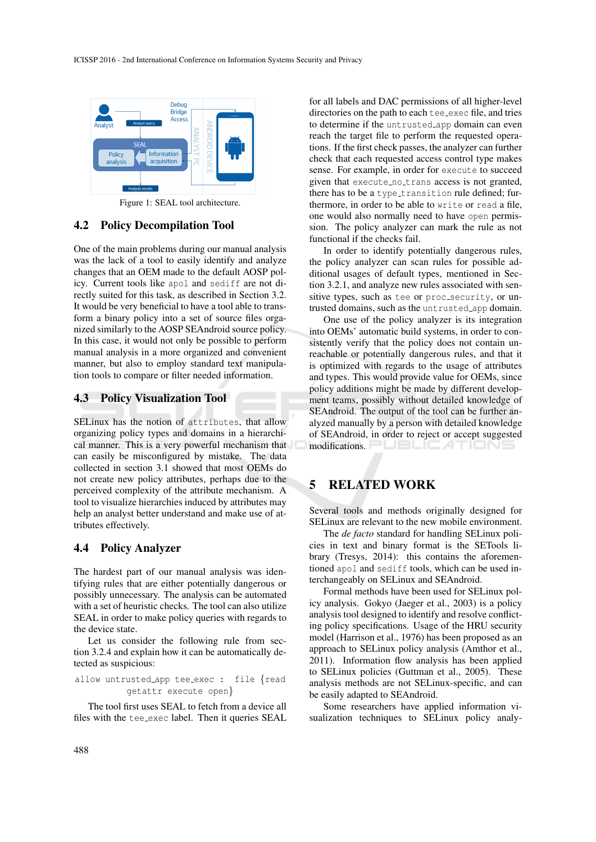

Figure 1: SEAL tool architecture.

## 4.2 Policy Decompilation Tool

One of the main problems during our manual analysis was the lack of a tool to easily identify and analyze changes that an OEM made to the default AOSP policy. Current tools like apol and sediff are not directly suited for this task, as described in Section 3.2. It would be very beneficial to have a tool able to transform a binary policy into a set of source files organized similarly to the AOSP SEAndroid source policy. In this case, it would not only be possible to perform manual analysis in a more organized and convenient manner, but also to employ standard text manipulation tools to compare or filter needed information.

#### 4.3 Policy Visualization Tool

SELinux has the notion of attributes, that allow organizing policy types and domains in a hierarchical manner. This is a very powerful mechanism that can easily be misconfigured by mistake. The data collected in section 3.1 showed that most OEMs do not create new policy attributes, perhaps due to the perceived complexity of the attribute mechanism. A tool to visualize hierarchies induced by attributes may help an analyst better understand and make use of attributes effectively.

### 4.4 Policy Analyzer

The hardest part of our manual analysis was identifying rules that are either potentially dangerous or possibly unnecessary. The analysis can be automated with a set of heuristic checks. The tool can also utilize SEAL in order to make policy queries with regards to the device state.

Let us consider the following rule from section 3.2.4 and explain how it can be automatically detected as suspicious:

allow untrusted app tee exec : file {read getattr execute open}

The tool first uses SEAL to fetch from a device all files with the tee exec label. Then it queries SEAL

for all labels and DAC permissions of all higher-level directories on the path to each tee\_exec file, and tries to determine if the untrusted app domain can even reach the target file to perform the requested operations. If the first check passes, the analyzer can further check that each requested access control type makes sense. For example, in order for execute to succeed given that execute no trans access is not granted, there has to be a type\_transition rule defined; furthermore, in order to be able to write or read a file, one would also normally need to have open permission. The policy analyzer can mark the rule as not functional if the checks fail.

In order to identify potentially dangerous rules, the policy analyzer can scan rules for possible additional usages of default types, mentioned in Section 3.2.1, and analyze new rules associated with sensitive types, such as tee or proc\_security, or untrusted domains, such as the untrusted app domain.

One use of the policy analyzer is its integration into OEMs' automatic build systems, in order to consistently verify that the policy does not contain unreachable or potentially dangerous rules, and that it is optimized with regards to the usage of attributes and types. This would provide value for OEMs, since policy additions might be made by different development teams, possibly without detailed knowledge of SEAndroid. The output of the tool can be further analyzed manually by a person with detailed knowledge of SEAndroid, in order to reject or accept suggested modifications. PUBLICATIONS

## 5 RELATED WORK

Several tools and methods originally designed for SELinux are relevant to the new mobile environment.

The *de facto* standard for handling SELinux policies in text and binary format is the SETools library (Tresys, 2014): this contains the aforementioned apol and sediff tools, which can be used interchangeably on SELinux and SEAndroid.

Formal methods have been used for SELinux policy analysis. Gokyo (Jaeger et al., 2003) is a policy analysis tool designed to identify and resolve conflicting policy specifications. Usage of the HRU security model (Harrison et al., 1976) has been proposed as an approach to SELinux policy analysis (Amthor et al., 2011). Information flow analysis has been applied to SELinux policies (Guttman et al., 2005). These analysis methods are not SELinux-specific, and can be easily adapted to SEAndroid.

Some researchers have applied information visualization techniques to SELinux policy analy